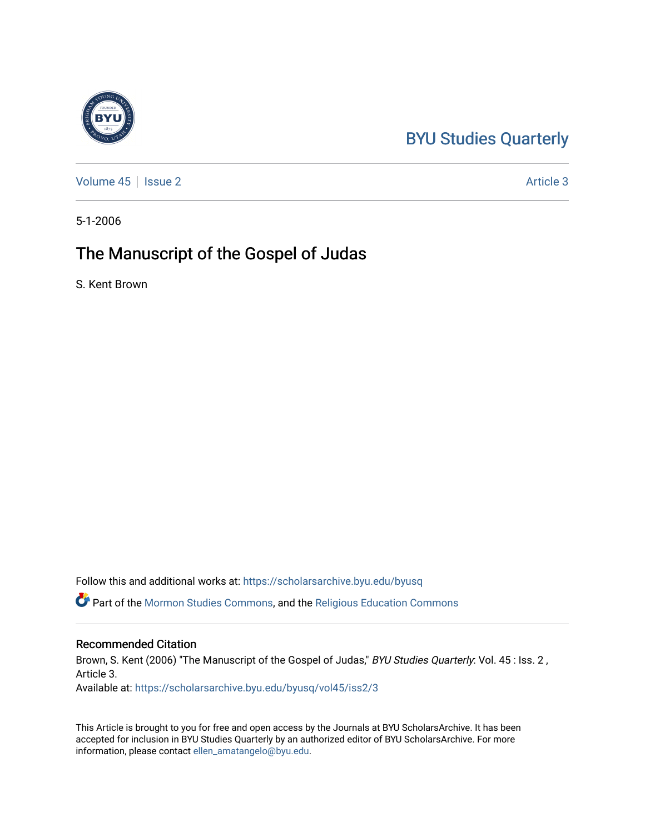# [BYU Studies Quarterly](https://scholarsarchive.byu.edu/byusq)

[Volume 45](https://scholarsarchive.byu.edu/byusq/vol45) | [Issue 2](https://scholarsarchive.byu.edu/byusq/vol45/iss2) Article 3

5-1-2006

# The Manuscript of the Gospel of Judas

S. Kent Brown

Follow this and additional works at: [https://scholarsarchive.byu.edu/byusq](https://scholarsarchive.byu.edu/byusq?utm_source=scholarsarchive.byu.edu%2Fbyusq%2Fvol45%2Fiss2%2F3&utm_medium=PDF&utm_campaign=PDFCoverPages) 

Part of the [Mormon Studies Commons](http://network.bepress.com/hgg/discipline/1360?utm_source=scholarsarchive.byu.edu%2Fbyusq%2Fvol45%2Fiss2%2F3&utm_medium=PDF&utm_campaign=PDFCoverPages), and the [Religious Education Commons](http://network.bepress.com/hgg/discipline/1414?utm_source=scholarsarchive.byu.edu%2Fbyusq%2Fvol45%2Fiss2%2F3&utm_medium=PDF&utm_campaign=PDFCoverPages) 

# Recommended Citation

Brown, S. Kent (2006) "The Manuscript of the Gospel of Judas," BYU Studies Quarterly: Vol. 45 : Iss. 2, Article 3.

Available at: [https://scholarsarchive.byu.edu/byusq/vol45/iss2/3](https://scholarsarchive.byu.edu/byusq/vol45/iss2/3?utm_source=scholarsarchive.byu.edu%2Fbyusq%2Fvol45%2Fiss2%2F3&utm_medium=PDF&utm_campaign=PDFCoverPages)

This Article is brought to you for free and open access by the Journals at BYU ScholarsArchive. It has been accepted for inclusion in BYU Studies Quarterly by an authorized editor of BYU ScholarsArchive. For more information, please contact [ellen\\_amatangelo@byu.edu.](mailto:ellen_amatangelo@byu.edu)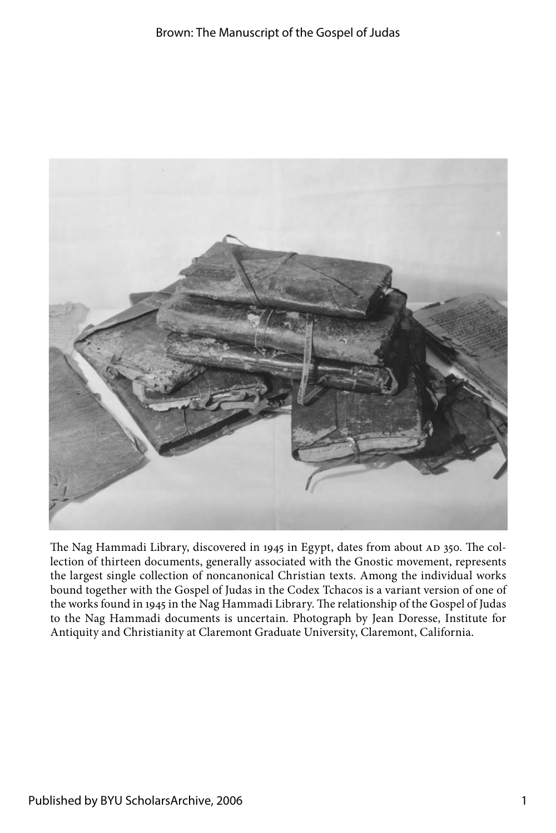

The Nag Hammadi Library, discovered in 1945 in Egypt, dates from about AD 350. The collection of thirteen documents, generally associated with the Gnostic movement, represents the largest single collection of noncanonical Christian texts. Among the individual works bound together with the Gospel of Judas in the Codex Tchacos is a variant version of one of the works found in 1945 in the Nag Hammadi Library. The relationship of the Gospel of Judas to the Nag Hammadi documents is uncertain. Photograph by Jean Doresse, Institute for Antiquity and Christianity at Claremont Graduate University, Claremont, California.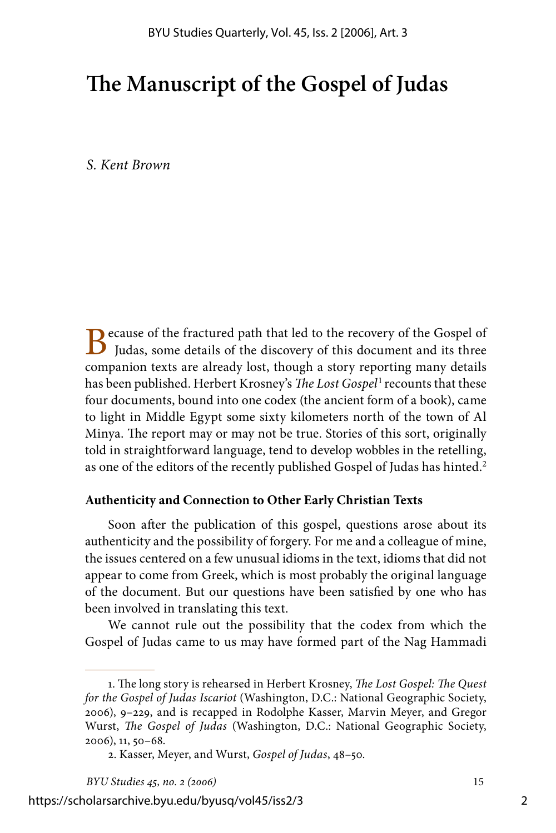# **The Manuscript of the Gospel of Judas**

*S. Kent Brown*

Because of the fractured path that led to the recovery of the Gospel of Judas, some details of the discovery of this document and its three companion texts are already lost, though a story reporting many details has been published. Herbert Krosney's *The Lost Gospel*<sup>1</sup> recounts that these four documents, bound into one codex (the ancient form of a book), came to light in Middle Egypt some sixty kilometers north of the town of Al Minya. The report may or may not be true. Stories of this sort, originally told in straightforward language, tend to develop wobbles in the retelling, as one of the editors of the recently published Gospel of Judas has hinted.<sup>2</sup>

#### **Authenticity and Connection to Other Early Christian Texts**

Soon after the publication of this gospel, questions arose about its authenticity and the possibility of forgery. For me and a colleague of mine, the issues centered on a few unusual idioms in the text, idioms that did not appear to come from Greek, which is most probably the original language of the document. But our questions have been satisfied by one who has been involved in translating this text.

We cannot rule out the possibility that the codex from which the Gospel of Judas came to us may have formed part of the Nag Hammadi

<sup>.</sup> The long story is rehearsed in Herbert Krosney, *The Lost Gospel: The Quest for the Gospel of Judas Iscariot* (Washington, D.C.: National Geographic Society, 2006), 9–229, and is recapped in Rodolphe Kasser, Marvin Meyer, and Gregor Wurst, *The Gospel of Judas* (Washington, D.C.: National Geographic Society, 2006), 11, 50–68.

<sup>.</sup> Kasser, Meyer, and Wurst, *Gospel of Judas*, 48–50.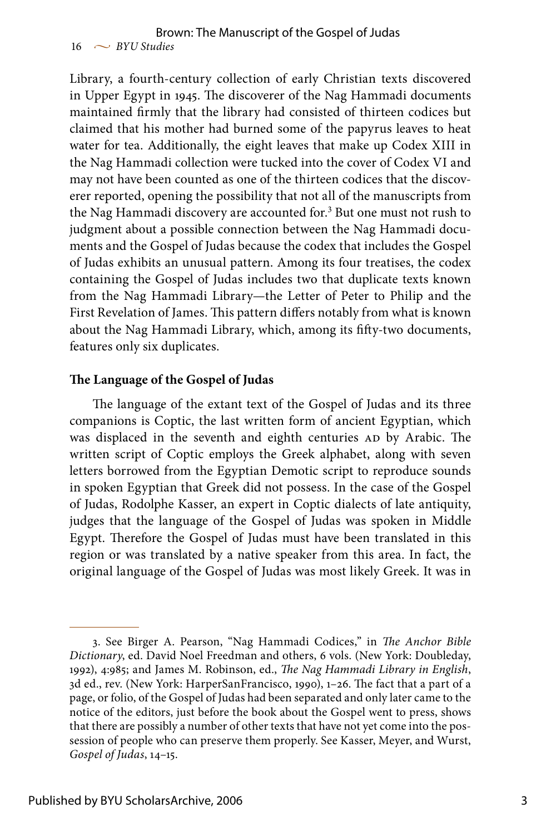Library, a fourth-century collection of early Christian texts discovered in Upper Egypt in 1945. The discoverer of the Nag Hammadi documents maintained firmly that the library had consisted of thirteen codices but claimed that his mother had burned some of the papyrus leaves to heat water for tea. Additionally, the eight leaves that make up Codex XIII in the Nag Hammadi collection were tucked into the cover of Codex VI and may not have been counted as one of the thirteen codices that the discoverer reported, opening the possibility that not all of the manuscripts from the Nag Hammadi discovery are accounted for.<sup>3</sup> But one must not rush to judgment about a possible connection between the Nag Hammadi documents and the Gospel of Judas because the codex that includes the Gospel of Judas exhibits an unusual pattern. Among its four treatises, the codex containing the Gospel of Judas includes two that duplicate texts known from the Nag Hammadi Library—the Letter of Peter to Philip and the First Revelation of James. This pattern differs notably from what is known about the Nag Hammadi Library, which, among its fifty-two documents, features only six duplicates.

#### **The Language of the Gospel of Judas**

The language of the extant text of the Gospel of Judas and its three companions is Coptic, the last written form of ancient Egyptian, which was displaced in the seventh and eighth centuries AD by Arabic. The written script of Coptic employs the Greek alphabet, along with seven letters borrowed from the Egyptian Demotic script to reproduce sounds in spoken Egyptian that Greek did not possess. In the case of the Gospel of Judas, Rodolphe Kasser, an expert in Coptic dialects of late antiquity, judges that the language of the Gospel of Judas was spoken in Middle Egypt. Therefore the Gospel of Judas must have been translated in this region or was translated by a native speaker from this area. In fact, the original language of the Gospel of Judas was most likely Greek. It was in

<sup>.</sup> See Birger A. Pearson, "Nag Hammadi Codices," in *The Anchor Bible Dictionary*, ed. David Noel Freedman and others, 6 vols. (New York: Doubleday, 1992), 4:985; and James M. Robinson, ed., *The Nag Hammadi Library in English*, 3d ed., rev. (New York: HarperSanFrancisco, 1990), 1–26. The fact that a part of a page, or folio, of the Gospel of Judas had been separated and only later came to the notice of the editors, just before the book about the Gospel went to press, shows that there are possibly a number of other texts that have not yet come into the possession of people who can preserve them properly. See Kasser, Meyer, and Wurst, *Gospel of Judas*, 14–15.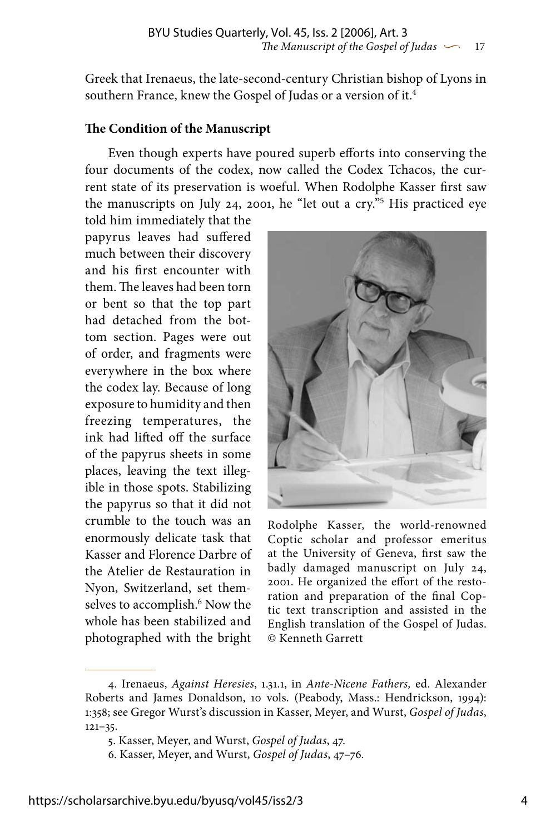Greek that Irenaeus, the late-second-century Christian bishop of Lyons in southern France, knew the Gospel of Judas or a version of it.

#### **The Condition of the Manuscript**

Even though experts have poured superb efforts into conserving the four documents of the codex, now called the Codex Tchacos, the current state of its preservation is woeful. When Rodolphe Kasser first saw the manuscripts on July 24, 2001, he "let out a cry." His practiced eye

told him immediately that the papyrus leaves had suffered much between their discovery and his first encounter with them. The leaves had been torn or bent so that the top part had detached from the bottom section. Pages were out of order, and fragments were everywhere in the box where the codex lay. Because of long exposure to humidity and then freezing temperatures, the ink had lifted off the surface of the papyrus sheets in some places, leaving the text illegible in those spots. Stabilizing the papyrus so that it did not crumble to the touch was an enormously delicate task that Kasser and Florence Darbre of the Atelier de Restauration in Nyon, Switzerland, set themselves to accomplish.<sup>6</sup> Now the whole has been stabilized and photographed with the bright



Rodolphe Kasser, the world-renowned Coptic scholar and professor emeritus at the University of Geneva, first saw the badly damaged manuscript on July 24, 2001. He organized the effort of the restoration and preparation of the final Coptic text transcription and assisted in the English translation of the Gospel of Judas. © Kenneth Garrett

<sup>.</sup> Irenaeus, *Against Heresies*, 1.31.1, in *Ante-Nicene Fathers,* ed. Alexander Roberts and James Donaldson, 10 vols. (Peabody, Mass.: Hendrickson, 1994): 1:358; see Gregor Wurst's discussion in Kasser, Meyer, and Wurst, *Gospel of Judas*, 121–35.

<sup>.</sup> Kasser, Meyer, and Wurst, *Gospel of Judas*, 47.

<sup>.</sup> Kasser, Meyer, and Wurst, *Gospel of Judas*, 47–76.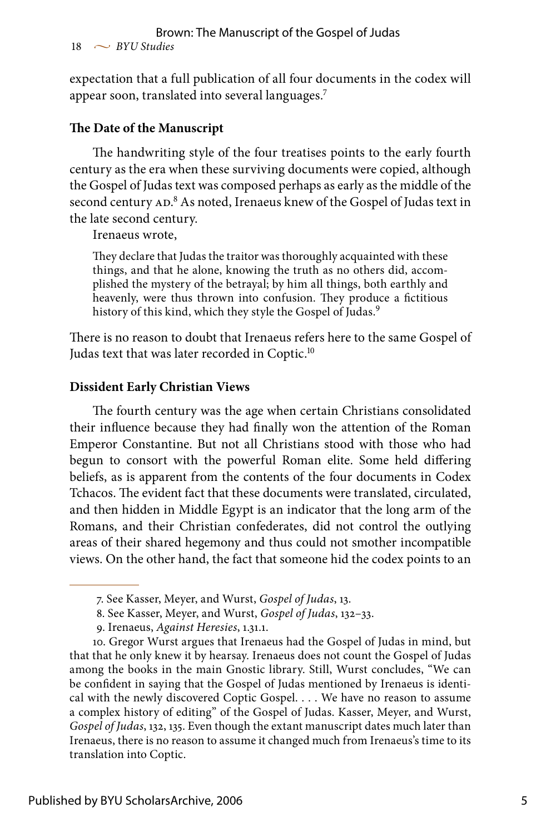expectation that a full publication of all four documents in the codex will appear soon, translated into several languages.

## **The Date of the Manuscript**

The handwriting style of the four treatises points to the early fourth century as the era when these surviving documents were copied, although the Gospel of Judas text was composed perhaps as early as the middle of the second century AD.<sup>8</sup> As noted, Irenaeus knew of the Gospel of Judas text in the late second century.

Irenaeus wrote,

They declare that Judas the traitor was thoroughly acquainted with these things, and that he alone, knowing the truth as no others did, accomplished the mystery of the betrayal; by him all things, both earthly and heavenly, were thus thrown into confusion. They produce a fictitious history of this kind, which they style the Gospel of Judas.<sup>9</sup>

There is no reason to doubt that Irenaeus refers here to the same Gospel of Judas text that was later recorded in Coptic.<sup>10</sup>

#### **Dissident Early Christian Views**

The fourth century was the age when certain Christians consolidated their influence because they had finally won the attention of the Roman Emperor Constantine. But not all Christians stood with those who had begun to consort with the powerful Roman elite. Some held differing beliefs, as is apparent from the contents of the four documents in Codex Tchacos. The evident fact that these documents were translated, circulated, and then hidden in Middle Egypt is an indicator that the long arm of the Romans, and their Christian confederates, did not control the outlying areas of their shared hegemony and thus could not smother incompatible views. On the other hand, the fact that someone hid the codex points to an

<sup>.</sup> See Kasser, Meyer, and Wurst, *Gospel of Judas*, 13.

<sup>.</sup> See Kasser, Meyer, and Wurst, *Gospel of Judas*, 132–33.

<sup>.</sup> Irenaeus, *Against Heresies*, 1.31.1.

<sup>10.</sup> Gregor Wurst argues that Irenaeus had the Gospel of Judas in mind, but that that he only knew it by hearsay. Irenaeus does not count the Gospel of Judas among the books in the main Gnostic library. Still, Wurst concludes, "We can be confident in saying that the Gospel of Judas mentioned by Irenaeus is identical with the newly discovered Coptic Gospel. . . . We have no reason to assume a complex history of editing" of the Gospel of Judas. Kasser, Meyer, and Wurst, *Gospel of Judas*, 132, 135. Even though the extant manuscript dates much later than Irenaeus, there is no reason to assume it changed much from Irenaeus's time to its translation into Coptic.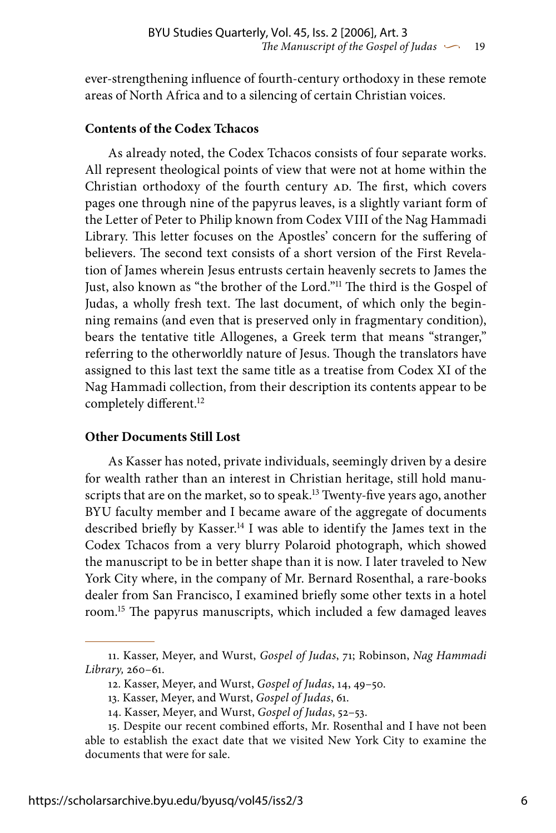ever-strengthening influence of fourth-century orthodoxy in these remote areas of North Africa and to a silencing of certain Christian voices.

### **Contents of the Codex Tchacos**

As already noted, the Codex Tchacos consists of four separate works. All represent theological points of view that were not at home within the Christian orthodoxy of the fourth century AD. The first, which covers pages one through nine of the papyrus leaves, is a slightly variant form of the Letter of Peter to Philip known from Codex VIII of the Nag Hammadi Library. This letter focuses on the Apostles' concern for the suffering of believers. The second text consists of a short version of the First Revelation of James wherein Jesus entrusts certain heavenly secrets to James the Just, also known as "the brother of the Lord."<sup>11</sup> The third is the Gospel of Judas, a wholly fresh text. The last document, of which only the beginning remains (and even that is preserved only in fragmentary condition), bears the tentative title Allogenes, a Greek term that means "stranger," referring to the otherworldly nature of Jesus. Though the translators have assigned to this last text the same title as a treatise from Codex XI of the Nag Hammadi collection, from their description its contents appear to be completely different.<sup>12</sup>

### **Other Documents Still Lost**

As Kasser has noted, private individuals, seemingly driven by a desire for wealth rather than an interest in Christian heritage, still hold manuscripts that are on the market, so to speak.<sup>13</sup> Twenty-five years ago, another BYU faculty member and I became aware of the aggregate of documents described briefly by Kasser.<sup>14</sup> I was able to identify the James text in the Codex Tchacos from a very blurry Polaroid photograph, which showed the manuscript to be in better shape than it is now. I later traveled to New York City where, in the company of Mr. Bernard Rosenthal, a rare-books dealer from San Francisco, I examined briefly some other texts in a hotel room.15 The papyrus manuscripts, which included a few damaged leaves

<sup>11.</sup> Kasser, Meyer, and Wurst, *Gospel of Judas*, 71; Robinson, *Nag Hammadi Library,* 260–61.

<sup>12.</sup> Kasser, Meyer, and Wurst, *Gospel of Judas*, 14, 49–50.

<sup>13.</sup> Kasser, Meyer, and Wurst, *Gospel of Judas*, 61.

<sup>14.</sup> Kasser, Meyer, and Wurst, *Gospel of Judas*, 52–53.

<sup>15.</sup> Despite our recent combined efforts, Mr. Rosenthal and I have not been able to establish the exact date that we visited New York City to examine the documents that were for sale.